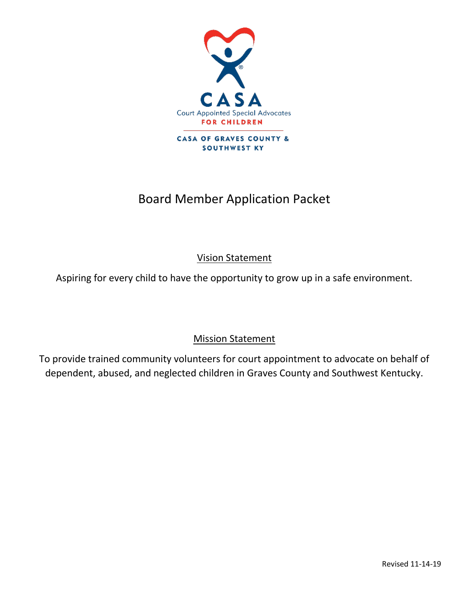

# Board Member Application Packet

Vision Statement

Aspiring for every child to have the opportunity to grow up in a safe environment.

# Mission Statement

To provide trained community volunteers for court appointment to advocate on behalf of dependent, abused, and neglected children in Graves County and Southwest Kentucky.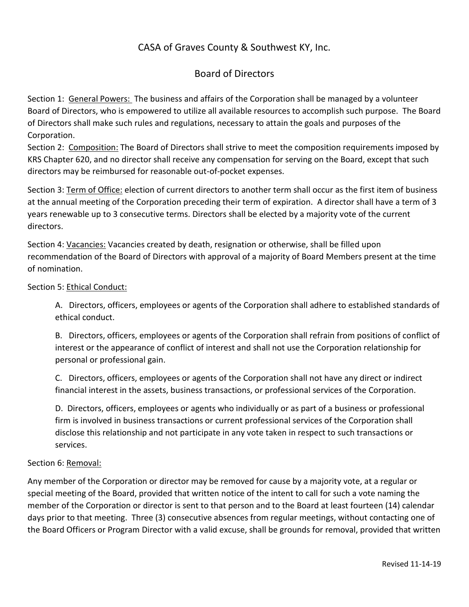## CASA of Graves County & Southwest KY, Inc.

### Board of Directors

Section 1: General Powers: The business and affairs of the Corporation shall be managed by a volunteer Board of Directors, who is empowered to utilize all available resources to accomplish such purpose. The Board of Directors shall make such rules and regulations, necessary to attain the goals and purposes of the Corporation.

Section 2: Composition: The Board of Directors shall strive to meet the composition requirements imposed by KRS Chapter 620, and no director shall receive any compensation for serving on the Board, except that such directors may be reimbursed for reasonable out-of-pocket expenses.

Section 3: Term of Office: election of current directors to another term shall occur as the first item of business at the annual meeting of the Corporation preceding their term of expiration. A director shall have a term of 3 years renewable up to 3 consecutive terms. Directors shall be elected by a majority vote of the current directors.

Section 4: Vacancies: Vacancies created by death, resignation or otherwise, shall be filled upon recommendation of the Board of Directors with approval of a majority of Board Members present at the time of nomination.

### Section 5: Ethical Conduct:

A. Directors, officers, employees or agents of the Corporation shall adhere to established standards of ethical conduct.

B. Directors, officers, employees or agents of the Corporation shall refrain from positions of conflict of interest or the appearance of conflict of interest and shall not use the Corporation relationship for personal or professional gain.

C. Directors, officers, employees or agents of the Corporation shall not have any direct or indirect financial interest in the assets, business transactions, or professional services of the Corporation.

D. Directors, officers, employees or agents who individually or as part of a business or professional firm is involved in business transactions or current professional services of the Corporation shall disclose this relationship and not participate in any vote taken in respect to such transactions or services.

### Section 6: Removal:

Any member of the Corporation or director may be removed for cause by a majority vote, at a regular or special meeting of the Board, provided that written notice of the intent to call for such a vote naming the member of the Corporation or director is sent to that person and to the Board at least fourteen (14) calendar days prior to that meeting. Three (3) consecutive absences from regular meetings, without contacting one of the Board Officers or Program Director with a valid excuse, shall be grounds for removal, provided that written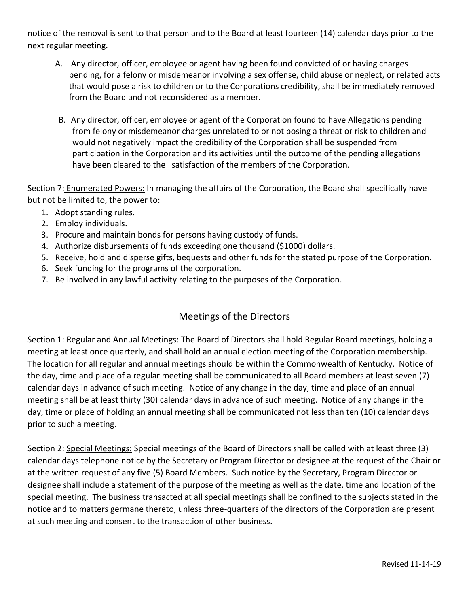notice of the removal is sent to that person and to the Board at least fourteen (14) calendar days prior to the next regular meeting.

- A. Any director, officer, employee or agent having been found convicted of or having charges pending, for a felony or misdemeanor involving a sex offense, child abuse or neglect, or related acts that would pose a risk to children or to the Corporations credibility, shall be immediately removed from the Board and not reconsidered as a member.
- B. Any director, officer, employee or agent of the Corporation found to have Allegations pending from felony or misdemeanor charges unrelated to or not posing a threat or risk to children and would not negatively impact the credibility of the Corporation shall be suspended from participation in the Corporation and its activities until the outcome of the pending allegations have been cleared to the satisfaction of the members of the Corporation.

Section 7: Enumerated Powers: In managing the affairs of the Corporation, the Board shall specifically have but not be limited to, the power to:

- 1. Adopt standing rules.
- 2. Employ individuals.
- 3. Procure and maintain bonds for persons having custody of funds.
- 4. Authorize disbursements of funds exceeding one thousand (\$1000) dollars.
- 5. Receive, hold and disperse gifts, bequests and other funds for the stated purpose of the Corporation.
- 6. Seek funding for the programs of the corporation.
- 7. Be involved in any lawful activity relating to the purposes of the Corporation.

### Meetings of the Directors

Section 1: Regular and Annual Meetings: The Board of Directors shall hold Regular Board meetings, holding a meeting at least once quarterly, and shall hold an annual election meeting of the Corporation membership. The location for all regular and annual meetings should be within the Commonwealth of Kentucky. Notice of the day, time and place of a regular meeting shall be communicated to all Board members at least seven (7) calendar days in advance of such meeting. Notice of any change in the day, time and place of an annual meeting shall be at least thirty (30) calendar days in advance of such meeting. Notice of any change in the day, time or place of holding an annual meeting shall be communicated not less than ten (10) calendar days prior to such a meeting.

Section 2: Special Meetings: Special meetings of the Board of Directors shall be called with at least three (3) calendar days telephone notice by the Secretary or Program Director or designee at the request of the Chair or at the written request of any five (5) Board Members. Such notice by the Secretary, Program Director or designee shall include a statement of the purpose of the meeting as well as the date, time and location of the special meeting. The business transacted at all special meetings shall be confined to the subjects stated in the notice and to matters germane thereto, unless three-quarters of the directors of the Corporation are present at such meeting and consent to the transaction of other business.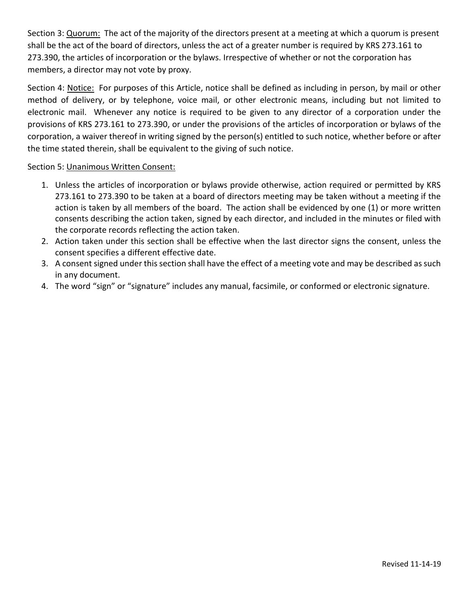Section 3: Quorum: The act of the majority of the directors present at a meeting at which a quorum is present shall be the act of the board of directors, unless the act of a greater number is required by KRS 273.161 to 273.390, the articles of incorporation or the bylaws. Irrespective of whether or not the corporation has members, a director may not vote by proxy.

Section 4: Notice: For purposes of this Article, notice shall be defined as including in person, by mail or other method of delivery, or by telephone, voice mail, or other electronic means, including but not limited to electronic mail. Whenever any notice is required to be given to any director of a corporation under the provisions of KRS 273.161 to 273.390, or under the provisions of the articles of incorporation or bylaws of the corporation, a waiver thereof in writing signed by the person(s) entitled to such notice, whether before or after the time stated therein, shall be equivalent to the giving of such notice.

### Section 5: Unanimous Written Consent:

- 1. Unless the articles of incorporation or bylaws provide otherwise, action required or permitted by KRS 273.161 to 273.390 to be taken at a board of directors meeting may be taken without a meeting if the action is taken by all members of the board. The action shall be evidenced by one (1) or more written consents describing the action taken, signed by each director, and included in the minutes or filed with the corporate records reflecting the action taken.
- 2. Action taken under this section shall be effective when the last director signs the consent, unless the consent specifies a different effective date.
- 3. A consent signed under this section shall have the effect of a meeting vote and may be described as such in any document.
- 4. The word "sign" or "signature" includes any manual, facsimile, or conformed or electronic signature.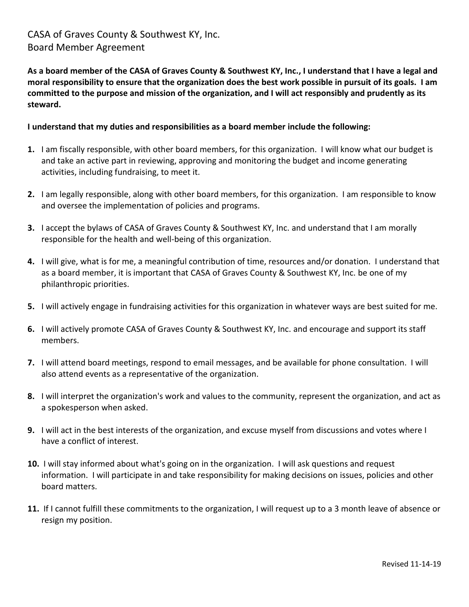### CASA of Graves County & Southwest KY, Inc. Board Member Agreement

**As a board member of the CASA of Graves County & Southwest KY, Inc., I understand that I have a legal and moral responsibility to ensure that the organization does the best work possible in pursuit of its goals. I am committed to the purpose and mission of the organization, and I will act responsibly and prudently as its steward.** 

### **I understand that my duties and responsibilities as a board member include the following:**

- **1.** I am fiscally responsible, with other board members, for this organization. I will know what our budget is and take an active part in reviewing, approving and monitoring the budget and income generating activities, including fundraising, to meet it.
- **2.** I am legally responsible, along with other board members, for this organization. I am responsible to know and oversee the implementation of policies and programs.
- **3.** I accept the bylaws of CASA of Graves County & Southwest KY, Inc. and understand that I am morally responsible for the health and well-being of this organization.
- **4.** I will give, what is for me, a meaningful contribution of time, resources and/or donation. I understand that as a board member, it is important that CASA of Graves County & Southwest KY, Inc. be one of my philanthropic priorities.
- **5.** I will actively engage in fundraising activities for this organization in whatever ways are best suited for me.
- **6.** I will actively promote CASA of Graves County & Southwest KY, Inc. and encourage and support its staff members.
- **7.** I will attend board meetings, respond to email messages, and be available for phone consultation. I will also attend events as a representative of the organization.
- **8.** I will interpret the organization's work and values to the community, represent the organization, and act as a spokesperson when asked.
- **9.** I will act in the best interests of the organization, and excuse myself from discussions and votes where I have a conflict of interest.
- **10.** I will stay informed about what's going on in the organization. I will ask questions and request information. I will participate in and take responsibility for making decisions on issues, policies and other board matters.
- **11.** If I cannot fulfill these commitments to the organization, I will request up to a 3 month leave of absence or resign my position.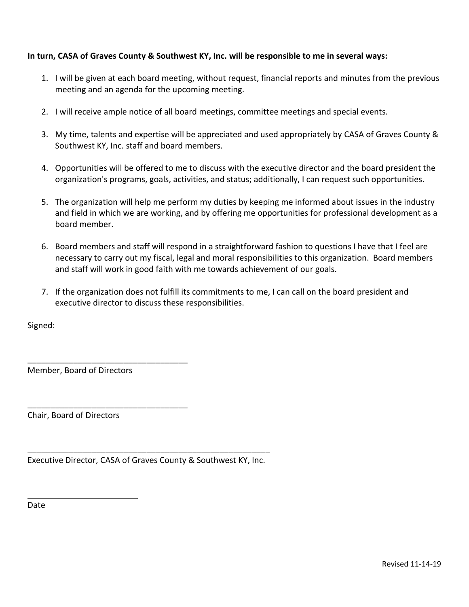### **In turn, CASA of Graves County & Southwest KY, Inc. will be responsible to me in several ways:**

- 1. I will be given at each board meeting, without request, financial reports and minutes from the previous meeting and an agenda for the upcoming meeting.
- 2. I will receive ample notice of all board meetings, committee meetings and special events.
- 3. My time, talents and expertise will be appreciated and used appropriately by CASA of Graves County & Southwest KY, Inc. staff and board members.
- 4. Opportunities will be offered to me to discuss with the executive director and the board president the organization's programs, goals, activities, and status; additionally, I can request such opportunities.
- 5. The organization will help me perform my duties by keeping me informed about issues in the industry and field in which we are working, and by offering me opportunities for professional development as a board member.
- 6. Board members and staff will respond in a straightforward fashion to questions I have that I feel are necessary to carry out my fiscal, legal and moral responsibilities to this organization. Board members and staff will work in good faith with me towards achievement of our goals.
- 7. If the organization does not fulfill its commitments to me, I can call on the board president and executive director to discuss these responsibilities.

Signed:

Member, Board of Directors

\_\_\_\_\_\_\_\_\_\_\_\_\_\_\_\_\_\_\_\_\_\_\_\_\_\_\_\_\_\_\_\_\_\_\_

\_\_\_\_\_\_\_\_\_\_\_\_\_\_\_\_\_\_\_\_\_\_\_\_\_\_\_\_\_\_\_\_\_\_\_

Chair, Board of Directors

\_\_\_\_\_\_\_\_\_\_\_\_\_\_\_\_\_\_\_\_\_\_\_\_\_\_\_\_\_\_\_\_\_\_\_\_\_\_\_\_\_\_\_\_\_\_\_\_\_\_\_\_\_ Executive Director, CASA of Graves County & Southwest KY, Inc.

Date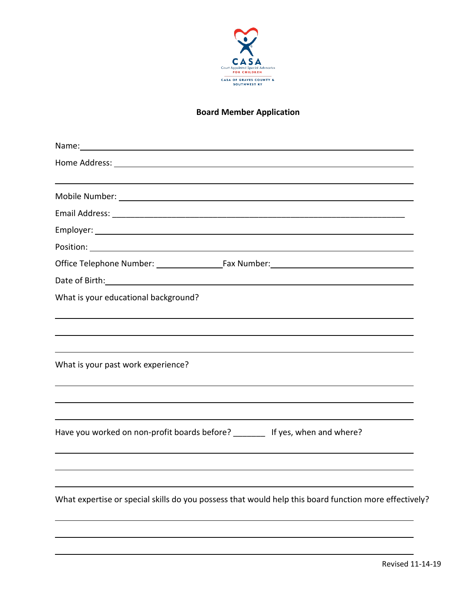

### **Board Member Application**

| Name: Name and the second state of the second state of the second state of the second state of the second state of the second state of the second state of the second state of the second state of the second state of the sec |
|--------------------------------------------------------------------------------------------------------------------------------------------------------------------------------------------------------------------------------|
| Home Address: North American Commission Commission Commission Commission Commission Commission Commission                                                                                                                      |
|                                                                                                                                                                                                                                |
|                                                                                                                                                                                                                                |
|                                                                                                                                                                                                                                |
|                                                                                                                                                                                                                                |
|                                                                                                                                                                                                                                |
| Date of Birth: National Communication of Birth: National Communication of Birth:                                                                                                                                               |
| What is your educational background?                                                                                                                                                                                           |
|                                                                                                                                                                                                                                |
| What is your past work experience?                                                                                                                                                                                             |
| Have you worked on non-profit boards before? ________ If yes, when and where?                                                                                                                                                  |
| What expertise or special skills do you possess that would help this board function more effectively?                                                                                                                          |
|                                                                                                                                                                                                                                |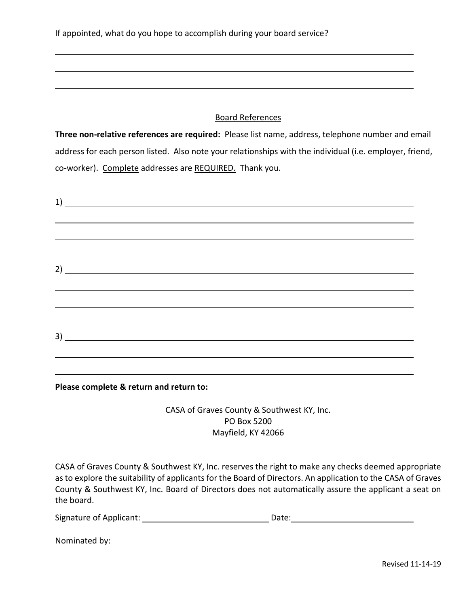### Board References

**Three non-relative references are required:** Please list name, address, telephone number and email address for each person listed. Also note your relationships with the individual (i.e. employer, friend, co-worker). Complete addresses are REQUIRED. Thank you.

| $\overline{1}$ $\overline{1}$ $\overline{1}$ $\overline{1}$ $\overline{1}$ $\overline{1}$ $\overline{1}$ $\overline{1}$ $\overline{1}$ $\overline{1}$ $\overline{1}$ $\overline{1}$ $\overline{1}$ $\overline{1}$ $\overline{1}$ $\overline{1}$ $\overline{1}$ $\overline{1}$ $\overline{1}$ $\overline{1}$ $\overline{1}$ $\overline{1}$ $\overline{1}$ $\overline{1}$ $\overline{$ |  |                                                                                  |
|--------------------------------------------------------------------------------------------------------------------------------------------------------------------------------------------------------------------------------------------------------------------------------------------------------------------------------------------------------------------------------------|--|----------------------------------------------------------------------------------|
|                                                                                                                                                                                                                                                                                                                                                                                      |  |                                                                                  |
|                                                                                                                                                                                                                                                                                                                                                                                      |  |                                                                                  |
|                                                                                                                                                                                                                                                                                                                                                                                      |  |                                                                                  |
|                                                                                                                                                                                                                                                                                                                                                                                      |  |                                                                                  |
|                                                                                                                                                                                                                                                                                                                                                                                      |  | ,我们也不会有什么。""我们的人,我们也不会有什么?""我们的人,我们也不会有什么?""我们的人,我们也不会有什么?""我们的人,我们也不会有什么?""我们的人 |
|                                                                                                                                                                                                                                                                                                                                                                                      |  |                                                                                  |
|                                                                                                                                                                                                                                                                                                                                                                                      |  |                                                                                  |
| 3)                                                                                                                                                                                                                                                                                                                                                                                   |  |                                                                                  |
|                                                                                                                                                                                                                                                                                                                                                                                      |  |                                                                                  |
|                                                                                                                                                                                                                                                                                                                                                                                      |  |                                                                                  |
|                                                                                                                                                                                                                                                                                                                                                                                      |  |                                                                                  |

**Please complete & return and return to:** 

CASA of Graves County & Southwest KY, Inc. PO Box 5200 Mayfield, KY 42066

CASA of Graves County & Southwest KY, Inc. reserves the right to make any checks deemed appropriate as to explore the suitability of applicants for the Board of Directors. An application to the CASA of Graves County & Southwest KY, Inc. Board of Directors does not automatically assure the applicant a seat on the board.

Signature of Applicant: Date:

Nominated by: